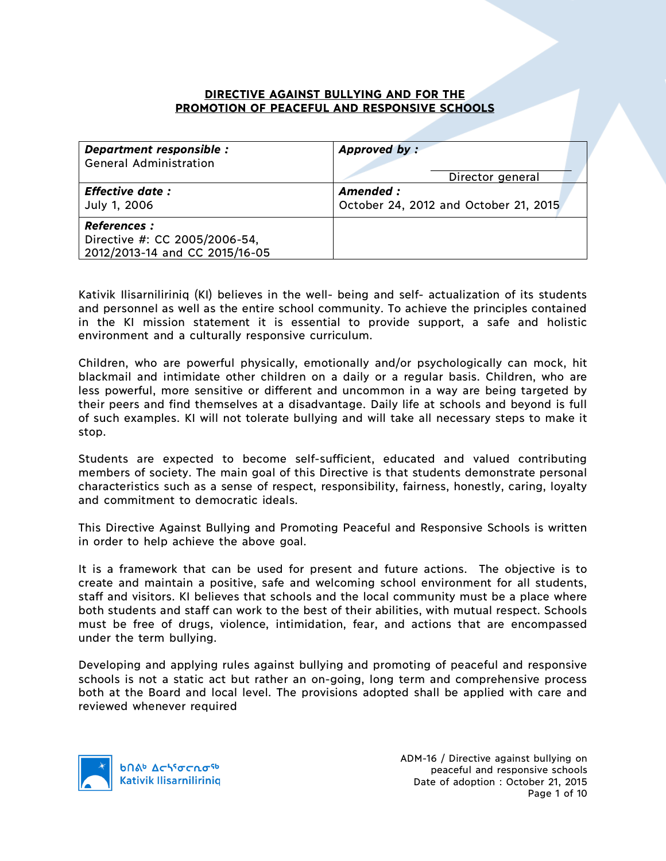#### **DIRECTIVE AGAINST BULLYING AND FOR THE PROMOTION OF PEACEFUL AND RESPONSIVE SCHOOLS**

| Department responsible :                                                               | Approved by:                          |
|----------------------------------------------------------------------------------------|---------------------------------------|
| <b>General Administration</b>                                                          | Director general                      |
| <b>Effective date:</b>                                                                 | Amended :                             |
| July 1, 2006                                                                           | October 24, 2012 and October 21, 2015 |
| <b>References :</b><br>Directive #: CC 2005/2006-54,<br>2012/2013-14 and CC 2015/16-05 |                                       |

Kativik Ilisarniliriniq (KI) believes in the well- being and self- actualization of its students and personnel as well as the entire school community. To achieve the principles contained in the KI mission statement it is essential to provide support, a safe and holistic environment and a culturally responsive curriculum.

Children, who are powerful physically, emotionally and/or psychologically can mock, hit blackmail and intimidate other children on a daily or a regular basis. Children, who are less powerful, more sensitive or different and uncommon in a way are being targeted by their peers and find themselves at a disadvantage. Daily life at schools and beyond is full of such examples. KI will not tolerate bullying and will take all necessary steps to make it stop.

Students are expected to become self-sufficient, educated and valued contributing members of society. The main goal of this Directive is that students demonstrate personal characteristics such as a sense of respect, responsibility, fairness, honestly, caring, loyalty and commitment to democratic ideals.

This Directive Against Bullying and Promoting Peaceful and Responsive Schools is written in order to help achieve the above goal.

It is a framework that can be used for present and future actions. The objective is to create and maintain a positive, safe and welcoming school environment for all students, staff and visitors. KI believes that schools and the local community must be a place where both students and staff can work to the best of their abilities, with mutual respect. Schools must be free of drugs, violence, intimidation, fear, and actions that are encompassed under the term bullying.

Developing and applying rules against bullying and promoting of peaceful and responsive schools is not a static act but rather an on-going, long term and comprehensive process both at the Board and local level. The provisions adopted shall be applied with care and reviewed whenever required



ADM-16 / Directive against bullying on peaceful and responsive schools Date of adoption : October 21, 2015 Page 1 of 10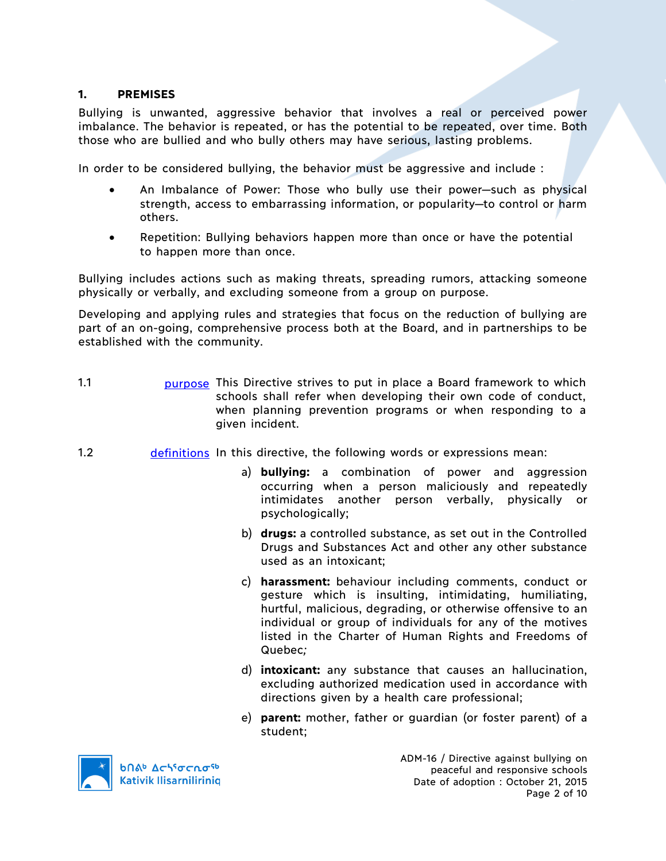## **1. PREMISES**

Bullying is unwanted, aggressive behavior that involves a real or perceived power imbalance. The behavior is repeated, or has the potential to be repeated, over time. Both those who are bullied and who bully others may have serious, lasting problems.

In order to be considered bullying, the behavior must be aggressive and include :

- An Imbalance of Power: Those who bully use their power—such as physical strength, access to embarrassing information, or popularity—to control or harm others.
- Repetition: Bullying behaviors happen more than once or have the potential to happen more than once.

Bullying includes actions such as making threats, spreading rumors, attacking someone physically or verbally, and excluding someone from a group on purpose.

Developing and applying rules and strategies that focus on the reduction of bullying are part of an on-going, comprehensive process both at the Board, and in partnerships to be established with the community.

1.1 **purpose** This Directive strives to put in place a Board framework to which schools shall refer when developing their own code of conduct, when planning prevention programs or when responding to a given incident.

- 1.2 definitions In this directive, the following words or expressions mean:
	- a) **bullying:** a combination of power and aggression occurring when a person maliciously and repeatedly intimidates another person verbally, physically or psychologically;
	- b) **drugs:** a controlled substance, as set out in the Controlled Drugs and Substances Act and other any other substance used as an intoxicant;
	- c) **harassment:** behaviour including comments, conduct or gesture which is insulting, intimidating, humiliating, hurtful, malicious, degrading, or otherwise offensive to an individual or group of individuals for any of the motives listed in the Charter of Human Rights and Freedoms of Quebec*;*
	- d) **intoxicant:** any substance that causes an hallucination, excluding authorized medication used in accordance with directions given by a health care professional;
	- e) **parent:** mother, father or guardian (or foster parent) of a student;

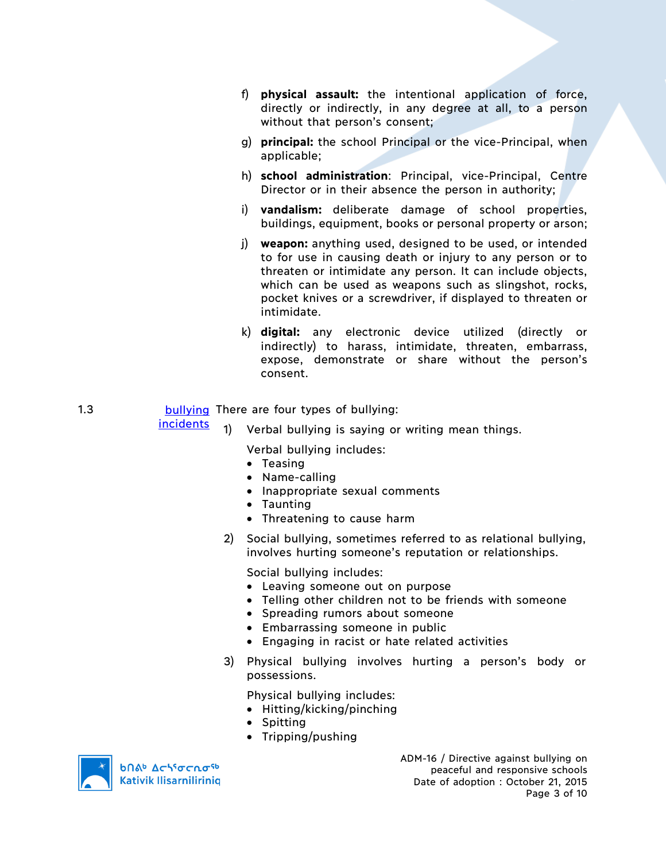- f) **physical assault:** the intentional application of force, directly or indirectly, in any degree at all, to a person without that person's consent;
- g) **principal:** the school Principal or the vice-Principal, when applicable;
- h) **school administration**: Principal, vice-Principal, Centre Director or in their absence the person in authority;
- i) **vandalism:** deliberate damage of school properties, buildings, equipment, books or personal property or arson;
- j) **weapon:** anything used, designed to be used, or intended to for use in causing death or injury to any person or to threaten or intimidate any person. It can include objects, which can be used as weapons such as slingshot, rocks, pocket knives or a screwdriver, if displayed to threaten or intimidate.
- k) **digital:** any electronic device utilized (directly or indirectly) to harass, intimidate, threaten, embarrass, expose, demonstrate or share without the person's consent.

1.3 bullying There are four types of bullying:

**incidents** 1) Verbal bullying is saying or writing mean things.

Verbal bullying includes:

- Teasing
- Name-calling
- Inappropriate sexual comments
- Taunting
- Threatening to cause harm
- 2) Social bullying, sometimes referred to as relational bullying, involves hurting someone's reputation or relationships.

Social bullying includes:

- Leaving someone out on purpose
- Telling other children not to be friends with someone
- Spreading rumors about someone
- Embarrassing someone in public
- Engaging in racist or hate related activities
- 3) Physical bullying involves hurting a person's body or possessions.

Physical bullying includes:

- Hitting/kicking/pinching
- Spitting
- Tripping/pushing



**b**በል<sup>b</sup> Δςιτσς το <sup>τρ</sup> **Kativik Ilisarnilirinig**  ADM-16 / Directive against bullying on peaceful and responsive schools Date of adoption : October 21, 2015 Page 3 of 10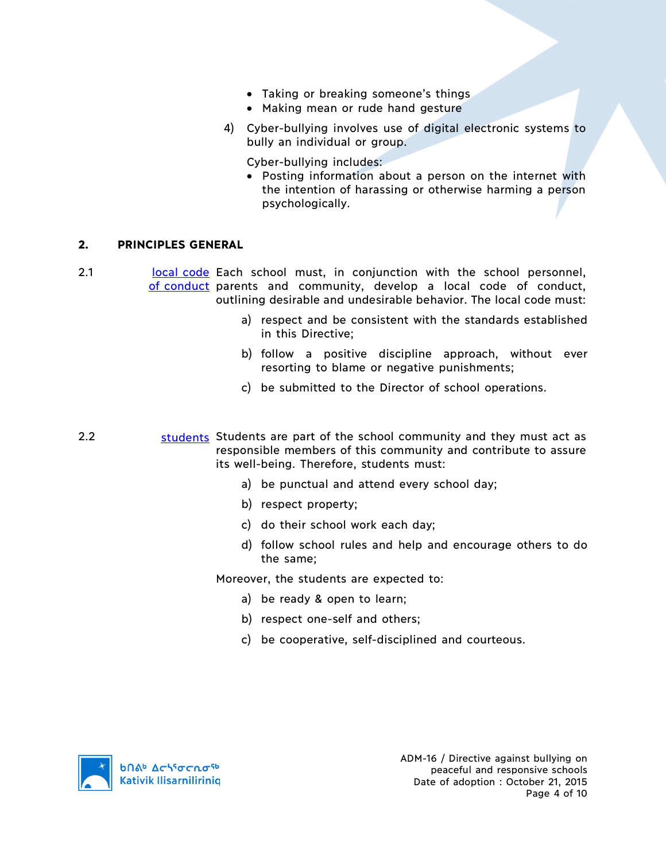- Taking or breaking someone's things
- Making mean or rude hand gesture
- 4) Cyber-bullying involves use of digital electronic systems to bully an individual or group.

Cyber-bullying includes:

• Posting information about a person on the internet with the intention of harassing or otherwise harming a person psychologically.

#### **2. PRINCIPLES GENERAL**

- 2.1 **local code Each school must, in conjunction with the school personnel,** of conduct parents and community, develop a local code of conduct, outlining desirable and undesirable behavior. The local code must:
	- a) respect and be consistent with the standards established in this Directive;
	- b) follow a positive discipline approach, without ever resorting to blame or negative punishments;
	- c) be submitted to the Director of school operations.

2.2 students Students are part of the school community and they must act as responsible members of this community and contribute to assure its well-being. Therefore, students must:

- a) be punctual and attend every school day;
- b) respect property;
- c) do their school work each day;
- d) follow school rules and help and encourage others to do the same;

Moreover, the students are expected to:

- a) be ready & open to learn;
- b) respect one-self and others;
- c) be cooperative, self-disciplined and courteous.

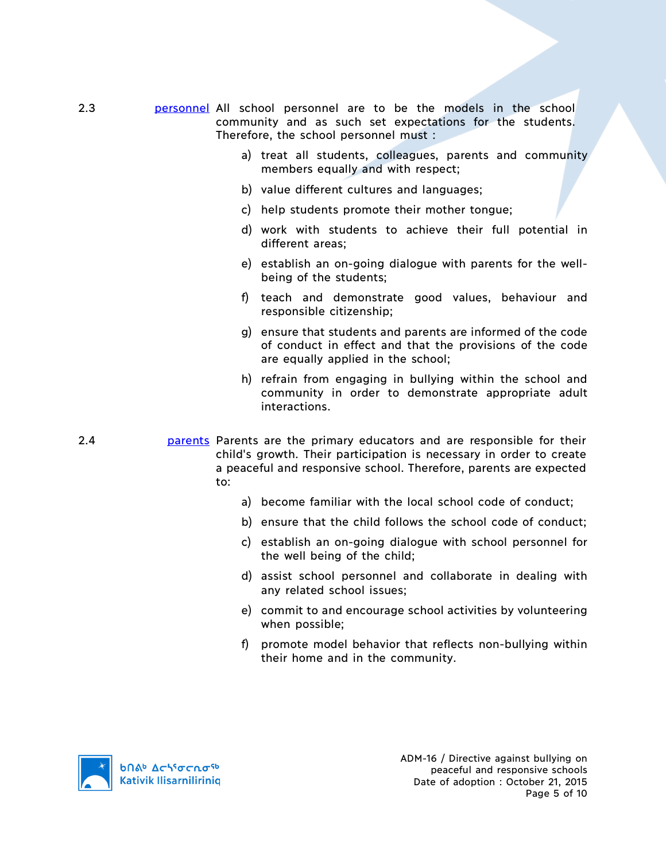- 2.3 **personnel** All school personnel are to be the models in the school community and as such set expectations for the students. Therefore, the school personnel must :
	- a) treat all students, colleagues, parents and community members equally and with respect;
	- b) value different cultures and languages;
	- c) help students promote their mother tongue;
	- d) work with students to achieve their full potential in different areas;
	- e) establish an on-going dialogue with parents for the wellbeing of the students;
	- f) teach and demonstrate good values, behaviour and responsible citizenship;
	- g) ensure that students and parents are informed of the code of conduct in effect and that the provisions of the code are equally applied in the school;
	- h) refrain from engaging in bullying within the school and community in order to demonstrate appropriate adult interactions.

2.4 parents Parents are the primary educators and are responsible for their child's growth. Their participation is necessary in order to create a peaceful and responsive school. Therefore, parents are expected to:

- a) become familiar with the local school code of conduct;
- b) ensure that the child follows the school code of conduct;
- c) establish an on-going dialogue with school personnel for the well being of the child;
- d) assist school personnel and collaborate in dealing with any related school issues;
- e) commit to and encourage school activities by volunteering when possible;
- f) promote model behavior that reflects non-bullying within their home and in the community.

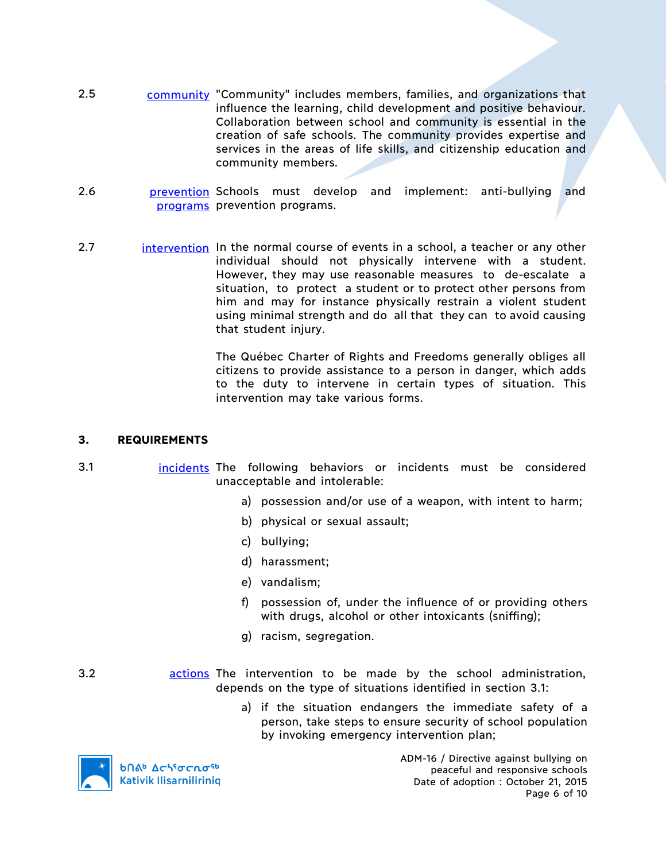- 2.5 community "Community" includes members, families, and organizations that influence the learning, child development and positive behaviour. Collaboration between school and community is essential in the creation of safe schools. The community provides expertise and services in the areas of life skills, and citizenship education and community members.
- 2.6 **bust of prevention** Schools must develop and implement: anti-bullying and programs prevention programs.
- 2.7 intervention In the normal course of events in a school, a teacher or any other individual should not physically intervene with a student. However, they may use reasonable measures to de-escalate a situation, to protect a student or to protect other persons from him and may for instance physically restrain a violent student using minimal strength and do all that they can to avoid causing that student injury.

The Québec Charter of Rights and Freedoms generally obliges all citizens to provide assistance to a person in danger, which adds to the duty to intervene in certain types of situation. This intervention may take various forms.

#### **3. REQUIREMENTS**

- 3.1 incidents The following behaviors or incidents must be considered unacceptable and intolerable:
	- a) possession and/or use of a weapon, with intent to harm;
	- b) physical or sexual assault;
	- c) bullying;
	- d) harassment;
	- e) vandalism;
	- f) possession of, under the influence of or providing others with drugs, alcohol or other intoxicants (sniffing);
	- g) racism, segregation.
- 3.2 actions The intervention to be made by the school administration, depends on the type of situations identified in section 3.1:
	- a) if the situation endangers the immediate safety of a person, take steps to ensure security of school population by invoking emergency intervention plan;



ADM-16 / Directive against bullying on peaceful and responsive schools Date of adoption : October 21, 2015 Page 6 of 10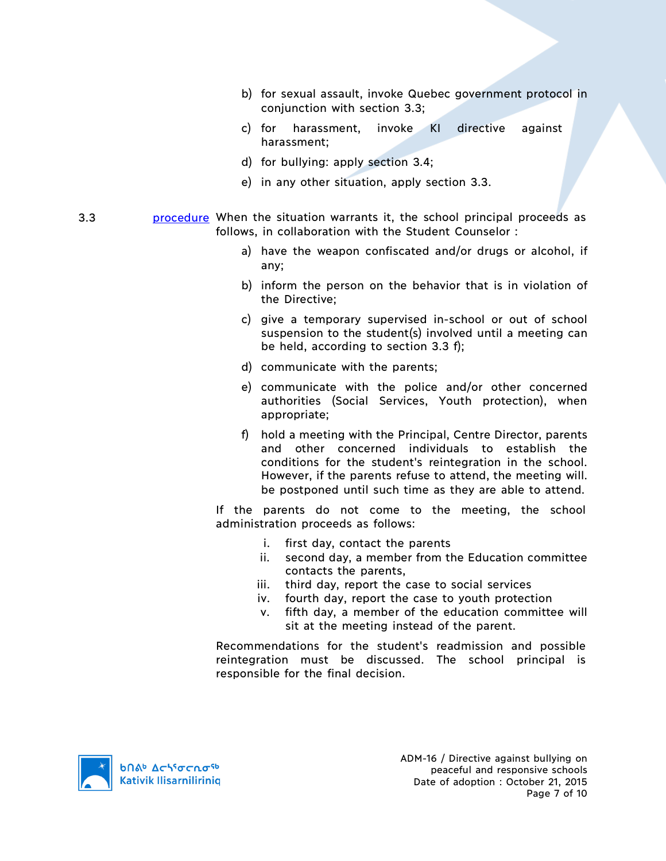- b) for sexual assault, invoke Quebec government protocol in conjunction with section 3.3;
- c) for harassment, invoke KI directive against harassment;
- d) for bullying: apply section 3.4;
- e) in any other situation, apply section 3.3.
- 3.3 procedure When the situation warrants it, the school principal proceeds as follows, in collaboration with the Student Counselor :
	- a) have the weapon confiscated and/or drugs or alcohol, if any;
	- b) inform the person on the behavior that is in violation of the Directive;
	- c) give a temporary supervised in-school or out of school suspension to the student(s) involved until a meeting can be held, according to section 3.3 f);
	- d) communicate with the parents;
	- e) communicate with the police and/or other concerned authorities (Social Services, Youth protection), when appropriate;
	- f) hold a meeting with the Principal, Centre Director, parents and other concerned individuals to establish the conditions for the student's reintegration in the school. However, if the parents refuse to attend, the meeting will. be postponed until such time as they are able to attend.

If the parents do not come to the meeting, the school administration proceeds as follows:

- i. first day, contact the parents
- ii. second day, a member from the Education committee contacts the parents,
- iii. third day, report the case to social services
- iv. fourth day, report the case to youth protection
- v. fifth day, a member of the education committee will sit at the meeting instead of the parent.

Recommendations for the student's readmission and possible reintegration must be discussed. The school principal is responsible for the final decision.

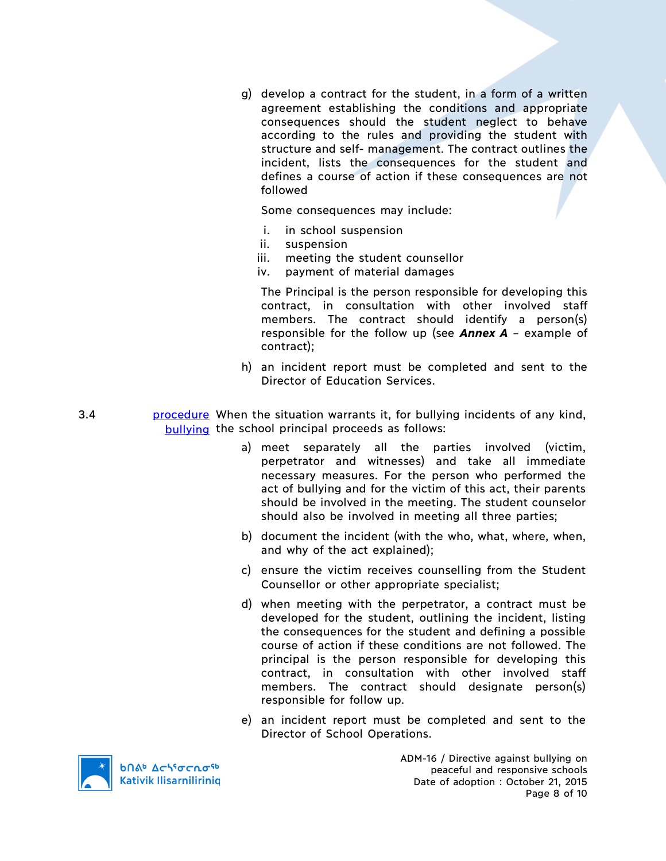g) develop a contract for the student, in a form of a written agreement establishing the conditions and appropriate consequences should the student neglect to behave according to the rules and providing the student with structure and self- management. The contract outlines the incident, lists the consequences for the student and defines a course of action if these consequences are not followed

Some consequences may include:

- i. in school suspension
- ii. suspension
- iii. meeting the student counsellor
- iv. payment of material damages

The Principal is the person responsible for developing this contract, in consultation with other involved staff members. The contract should identify a person(s) responsible for the follow up (see *Annex A* – example of contract);

h) an incident report must be completed and sent to the Director of Education Services.

3.4 **procedure** When the situation warrants it, for bullying incidents of any kind, bullying the school principal proceeds as follows:

- a) meet separately all the parties involved (victim, perpetrator and witnesses) and take all immediate necessary measures. For the person who performed the act of bullying and for the victim of this act, their parents should be involved in the meeting. The student counselor should also be involved in meeting all three parties;
- b) document the incident (with the who, what, where, when, and why of the act explained);
- c) ensure the victim receives counselling from the Student Counsellor or other appropriate specialist;
- d) when meeting with the perpetrator, a contract must be developed for the student, outlining the incident, listing the consequences for the student and defining a possible course of action if these conditions are not followed. The principal is the person responsible for developing this contract, in consultation with other involved staff members. The contract should designate person(s) responsible for follow up.
- e) an incident report must be completed and sent to the Director of School Operations.



ADM-16 / Directive against bullying on peaceful and responsive schools Date of adoption : October 21, 2015 Page 8 of 10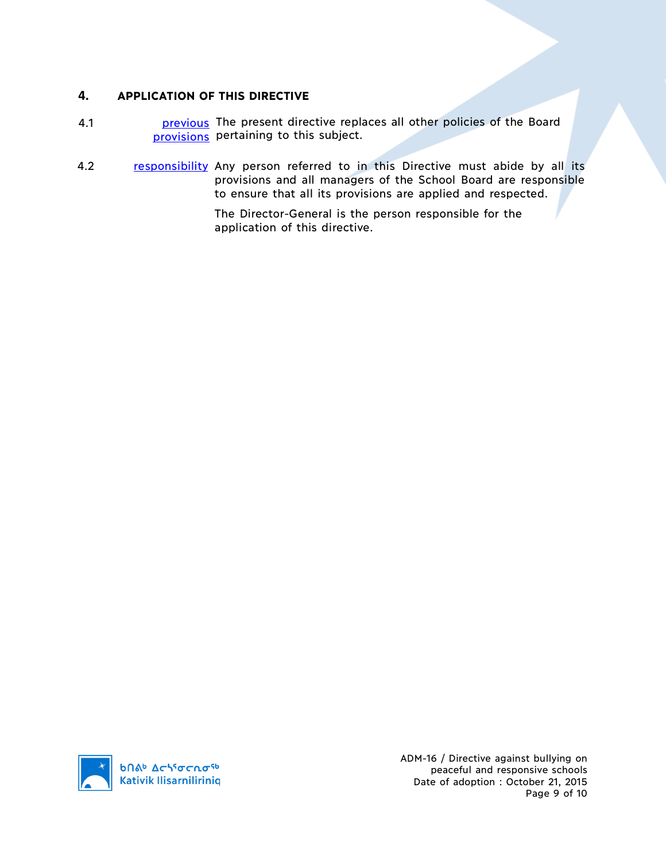## **4. APPLICATION OF THIS DIRECTIVE**

- 4.1 **previous** The present directive replaces all other policies of the Board provisions pertaining to this subject.
- 4.2 responsibility Any person referred to in this Directive must abide by all its provisions and all managers of the School Board are responsible to ensure that all its provisions are applied and respected.

The Director-General is the person responsible for the application of this directive.



ADM-16 / Directive against bullying on peaceful and responsive schools Date of adoption : October 21, 2015 Page 9 of 10